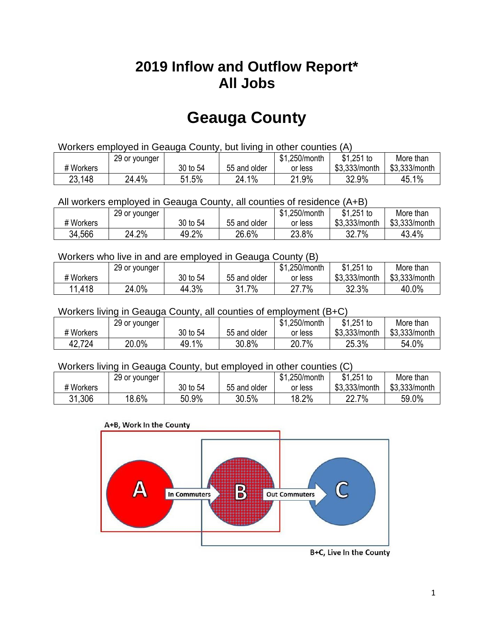## **2019 Inflow and Outflow Report\* All Jobs**

# **Geauga County**

| Workers employed in Geauga County, but living in other counties (A) |                                                           |          |              |         |               |               |  |  |  |
|---------------------------------------------------------------------|-----------------------------------------------------------|----------|--------------|---------|---------------|---------------|--|--|--|
|                                                                     | \$1.251 to<br>\$1.250/month<br>More than<br>29 or younger |          |              |         |               |               |  |  |  |
| # Workers                                                           |                                                           | 30 to 54 | 55 and older | or less | \$3.333/month | \$3,333/month |  |  |  |
| 23,148                                                              | 24.4%                                                     | 51.5%    | 24.1%        | 21.9%   | 32.9%         | 45.1%         |  |  |  |

All workers employed in Geauga County, all counties of residence (A+B)

|           | 29 or younger |          |              | \$1,250/month | \$1,251 to    | More than     |
|-----------|---------------|----------|--------------|---------------|---------------|---------------|
| # Workers |               | 30 to 54 | 55 and older | or less       | \$3,333/month | \$3,333/month |
| 34,566    | 24.2%         | 49.2%    | 26.6%        | 23.8%         | 32.7<br>7%    | 43.4%         |

#### Workers who live in and are employed in Geauga County (B)

|           | 29 or younger |          |              | \$1,250/month | $$1,251$ to   | More than     |
|-----------|---------------|----------|--------------|---------------|---------------|---------------|
| # Workers |               | 30 to 54 | 55 and older | or less       | \$3,333/month | \$3,333/month |
| 11,418    | 24.0%         | 44.3%    | 31.7%        | 7%<br>ົາ      | 32.3%         | 40.0%         |

#### Workers living in Geauga County, all counties of employment (B+C)

|           | 29 or younger |          |              | \$1,250/month | \$1,251 to    | More than     |
|-----------|---------------|----------|--------------|---------------|---------------|---------------|
| # Workers |               | 30 to 54 | 55 and older | or less       | \$3,333/month | \$3,333/month |
| 42,724    | 20.0%         | 49.1%    | 30.8%        | 20.7%         | 25.3%         | 54.0%         |

#### Workers living in Geauga County, but employed in other counties (C)

|           | 29 or younger |          |              | \$1,250/month | $$1,251$ to      | More than     |
|-----------|---------------|----------|--------------|---------------|------------------|---------------|
| # Workers |               | 30 to 54 | 55 and older | or less       | \$3,333/month    | \$3,333/month |
| 31,306    | 18.6%         | 50.9%    | 30.5%        | 18.2%         | 7%<br>იი<br>22.I | 59.0%         |

#### A+B, Work In the County



B+C, Live In the County